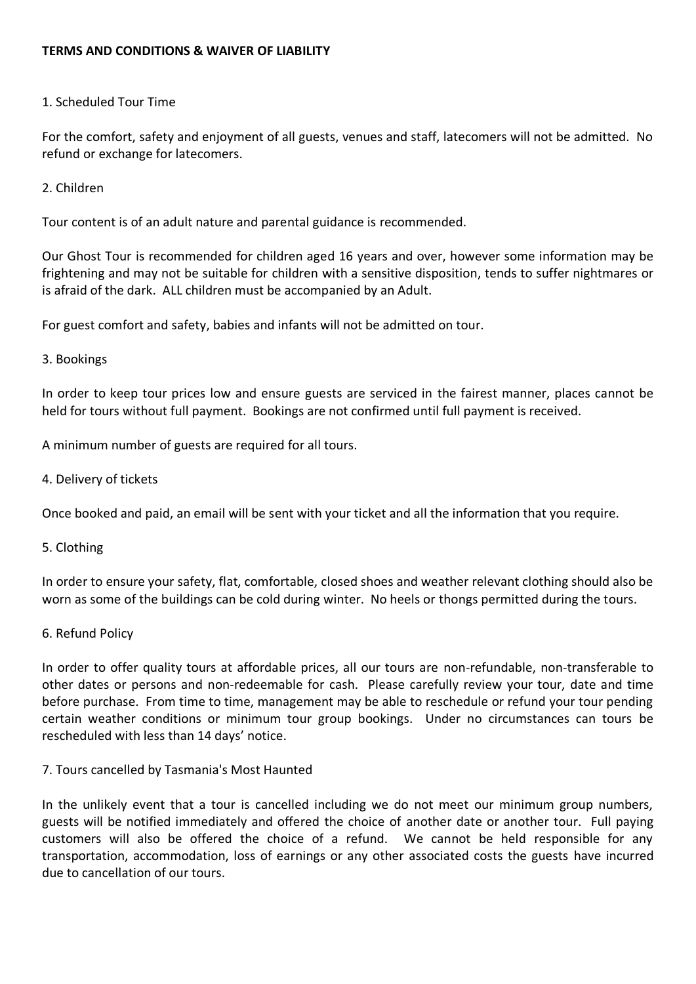### **TERMS AND CONDITIONS & WAIVER OF LIABILITY**

### 1. Scheduled Tour Time

For the comfort, safety and enjoyment of all guests, venues and staff, latecomers will not be admitted. No refund or exchange for latecomers.

### 2. Children

Tour content is of an adult nature and parental guidance is recommended.

Our Ghost Tour is recommended for children aged 16 years and over, however some information may be frightening and may not be suitable for children with a sensitive disposition, tends to suffer nightmares or is afraid of the dark. ALL children must be accompanied by an Adult.

For guest comfort and safety, babies and infants will not be admitted on tour.

### 3. Bookings

In order to keep tour prices low and ensure guests are serviced in the fairest manner, places cannot be held for tours without full payment. Bookings are not confirmed until full payment is received.

A minimum number of guests are required for all tours.

4. Delivery of tickets

Once booked and paid, an email will be sent with your ticket and all the information that you require.

5. Clothing

In order to ensure your safety, flat, comfortable, closed shoes and weather relevant clothing should also be worn as some of the buildings can be cold during winter. No heels or thongs permitted during the tours.

### 6. Refund Policy

In order to offer quality tours at affordable prices, all our tours are non-refundable, non-transferable to other dates or persons and non-redeemable for cash. Please carefully review your tour, date and time before purchase. From time to time, management may be able to reschedule or refund your tour pending certain weather conditions or minimum tour group bookings. Under no circumstances can tours be rescheduled with less than 14 days' notice.

### 7. Tours cancelled by Tasmania's Most Haunted

In the unlikely event that a tour is cancelled including we do not meet our minimum group numbers, guests will be notified immediately and offered the choice of another date or another tour. Full paying customers will also be offered the choice of a refund. We cannot be held responsible for any transportation, accommodation, loss of earnings or any other associated costs the guests have incurred due to cancellation of our tours.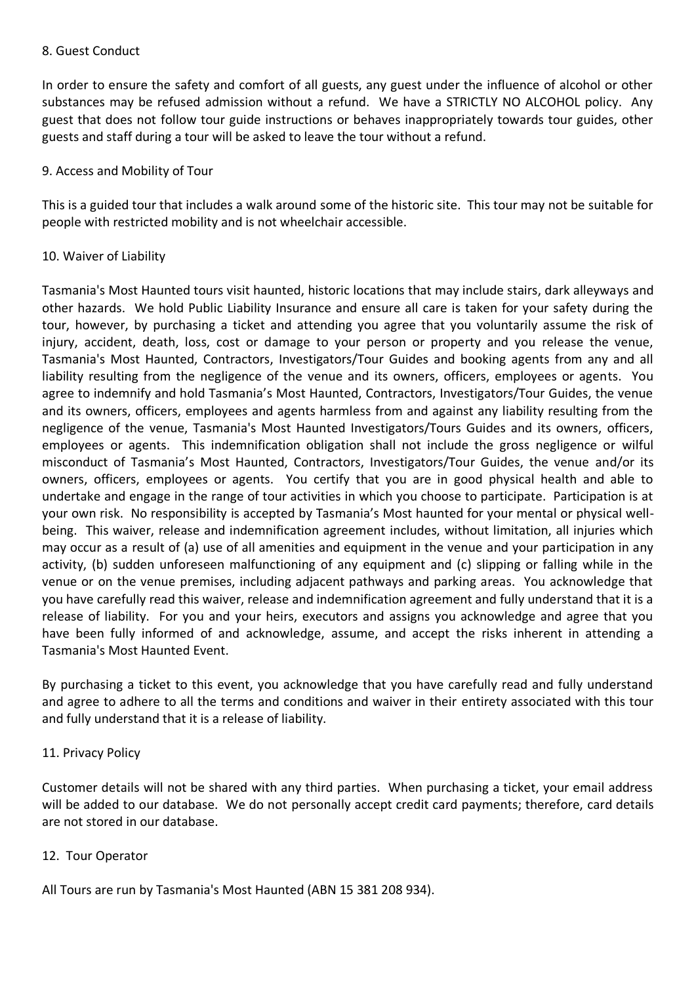#### 8. Guest Conduct

In order to ensure the safety and comfort of all guests, any guest under the influence of alcohol or other substances may be refused admission without a refund. We have a STRICTLY NO ALCOHOL policy. Any guest that does not follow tour guide instructions or behaves inappropriately towards tour guides, other guests and staff during a tour will be asked to leave the tour without a refund.

### 9. Access and Mobility of Tour

This is a guided tour that includes a walk around some of the historic site. This tour may not be suitable for people with restricted mobility and is not wheelchair accessible.

## 10. Waiver of Liability

Tasmania's Most Haunted tours visit haunted, historic locations that may include stairs, dark alleyways and other hazards. We hold Public Liability Insurance and ensure all care is taken for your safety during the tour, however, by purchasing a ticket and attending you agree that you voluntarily assume the risk of injury, accident, death, loss, cost or damage to your person or property and you release the venue, Tasmania's Most Haunted, Contractors, Investigators/Tour Guides and booking agents from any and all liability resulting from the negligence of the venue and its owners, officers, employees or agents. You agree to indemnify and hold Tasmania's Most Haunted, Contractors, Investigators/Tour Guides, the venue and its owners, officers, employees and agents harmless from and against any liability resulting from the negligence of the venue, Tasmania's Most Haunted Investigators/Tours Guides and its owners, officers, employees or agents. This indemnification obligation shall not include the gross negligence or wilful misconduct of Tasmania's Most Haunted, Contractors, Investigators/Tour Guides, the venue and/or its owners, officers, employees or agents. You certify that you are in good physical health and able to undertake and engage in the range of tour activities in which you choose to participate. Participation is at your own risk. No responsibility is accepted by Tasmania's Most haunted for your mental or physical wellbeing. This waiver, release and indemnification agreement includes, without limitation, all injuries which may occur as a result of (a) use of all amenities and equipment in the venue and your participation in any activity, (b) sudden unforeseen malfunctioning of any equipment and (c) slipping or falling while in the venue or on the venue premises, including adjacent pathways and parking areas. You acknowledge that you have carefully read this waiver, release and indemnification agreement and fully understand that it is a release of liability. For you and your heirs, executors and assigns you acknowledge and agree that you have been fully informed of and acknowledge, assume, and accept the risks inherent in attending a Tasmania's Most Haunted Event.

By purchasing a ticket to this event, you acknowledge that you have carefully read and fully understand and agree to adhere to all the terms and conditions and waiver in their entirety associated with this tour and fully understand that it is a release of liability.

### 11. Privacy Policy

Customer details will not be shared with any third parties. When purchasing a ticket, your email address will be added to our database. We do not personally accept credit card payments; therefore, card details are not stored in our database.

### 12. Tour Operator

All Tours are run by Tasmania's Most Haunted (ABN 15 381 208 934).